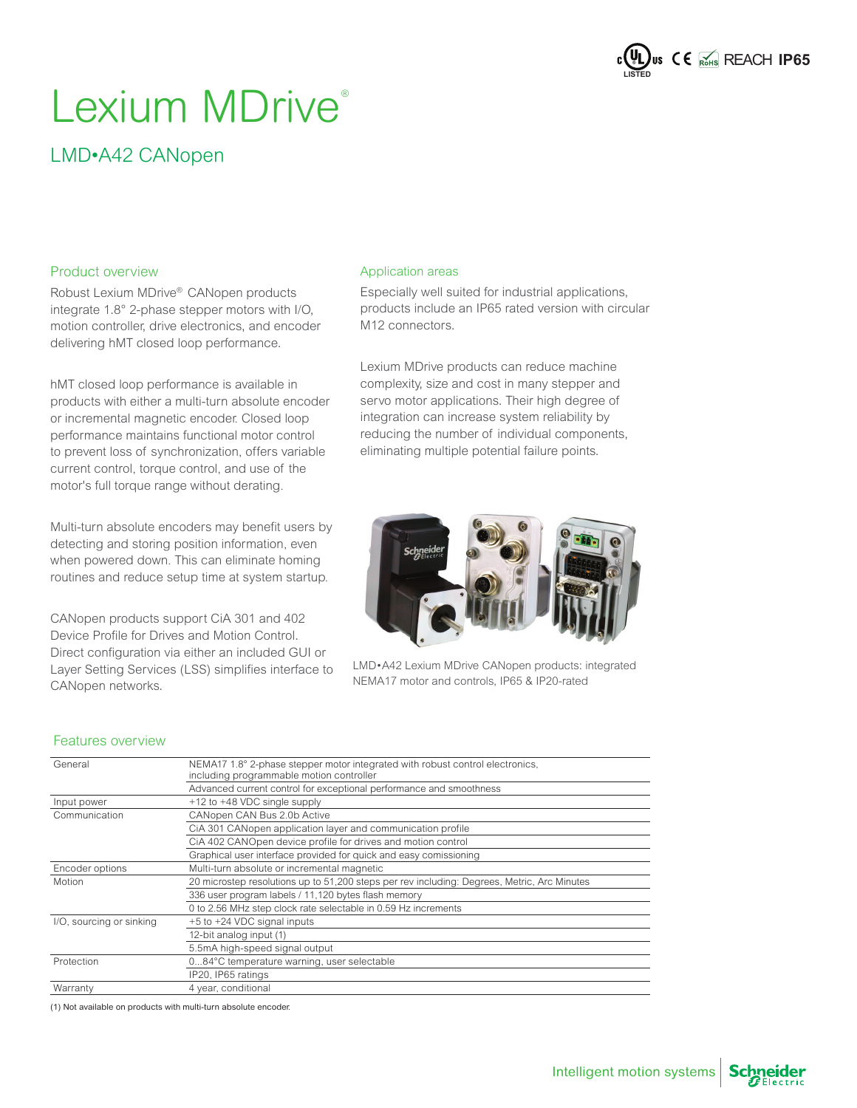

# Lexium MDrive®

### LMD•A42 CANopen

#### Product overview

Robust Lexium MDrive® CANopen products integrate 1.8° 2-phase stepper motors with I/O, motion controller, drive electronics, and encoder delivering hMT closed loop performance.

hMT closed loop performance is available in products with either a multi-turn absolute encoder or incremental magnetic encoder. Closed loop performance maintains functional motor control to prevent loss of synchronization, offers variable current control, torque control, and use of the motor's full torque range without derating.

Multi-turn absolute encoders may benefit users by detecting and storing position information, even when powered down. This can eliminate homing routines and reduce setup time at system startup.

CANopen products support CiA 301 and 402 Device Profile for Drives and Motion Control. Direct configuration via either an included GUI or Layer Setting Services (LSS) simplifies interface to CANopen networks.

#### Application areas

Especially well suited for industrial applications, products include an IP65 rated version with circular M12 connectors.

Lexium MDrive products can reduce machine complexity, size and cost in many stepper and servo motor applications. Their high degree of integration can increase system reliability by reducing the number of individual components, eliminating multiple potential failure points.



LMD•A42 Lexium MDrive CANopen products: integrated NEMA17 motor and controls, IP65 & IP20-rated

#### Features overview

| General                  | NEMA17 1.8° 2-phase stepper motor integrated with robust control electronics,<br>including programmable motion controller |
|--------------------------|---------------------------------------------------------------------------------------------------------------------------|
|                          | Advanced current control for exceptional performance and smoothness                                                       |
| Input power              | +12 to +48 VDC single supply                                                                                              |
| Communication            | CANopen CAN Bus 2.0b Active                                                                                               |
|                          | CIA 301 CANopen application layer and communication profile                                                               |
|                          | CIA 402 CANOpen device profile for drives and motion control                                                              |
|                          | Graphical user interface provided for quick and easy comissioning                                                         |
| Encoder options          | Multi-turn absolute or incremental magnetic                                                                               |
| Motion                   | 20 microstep resolutions up to 51,200 steps per rev including: Degrees, Metric, Arc Minutes                               |
|                          | 336 user program labels / 11,120 bytes flash memory                                                                       |
|                          | 0 to 2.56 MHz step clock rate selectable in 0.59 Hz increments                                                            |
| I/O, sourcing or sinking | +5 to +24 VDC signal inputs                                                                                               |
|                          | 12-bit analog input (1)                                                                                                   |
|                          | 5.5mA high-speed signal output                                                                                            |
| Protection               | 084°C temperature warning, user selectable                                                                                |
|                          | IP20, IP65 ratings                                                                                                        |
| Warranty                 | 4 year, conditional                                                                                                       |

(1) Not available on products with multi-turn absolute encoder.

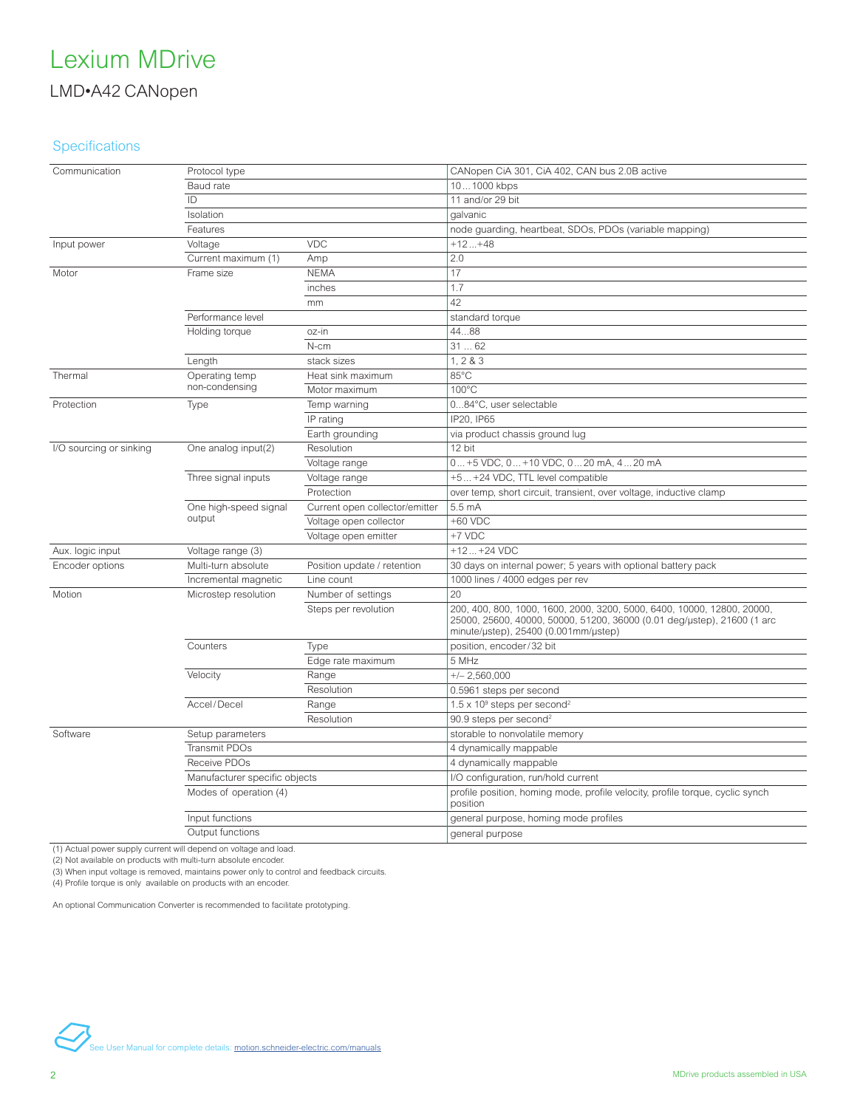### **Specifications**

| Communication           | Protocol type                 |                                | CANopen CiA 301, CiA 402, CAN bus 2.0B active                                                                                                                                              |
|-------------------------|-------------------------------|--------------------------------|--------------------------------------------------------------------------------------------------------------------------------------------------------------------------------------------|
|                         | Baud rate                     |                                | 101000 kbps                                                                                                                                                                                |
|                         | ID                            |                                | 11 and/or 29 bit                                                                                                                                                                           |
|                         | Isolation                     |                                | galvanic                                                                                                                                                                                   |
|                         | Features                      |                                | node guarding, heartbeat, SDOs, PDOs (variable mapping)                                                                                                                                    |
| Input power             | Voltage                       | <b>VDC</b>                     | $+12+48$                                                                                                                                                                                   |
|                         | Current maximum (1)           | Amp                            | 2.0                                                                                                                                                                                        |
| Motor                   | Frame size                    | <b>NEMA</b>                    | 17                                                                                                                                                                                         |
|                         |                               | inches                         | 1.7                                                                                                                                                                                        |
|                         |                               | mm                             | 42                                                                                                                                                                                         |
|                         | Performance level             |                                | standard torque                                                                                                                                                                            |
|                         | Holding torque                | oz-in                          | 4488                                                                                                                                                                                       |
|                         |                               | N-cm                           | 3162                                                                                                                                                                                       |
|                         | Length                        | stack sizes                    | 1, 283                                                                                                                                                                                     |
| Thermal                 | Operating temp                | Heat sink maximum              | 85°C                                                                                                                                                                                       |
|                         | non-condensing                | Motor maximum                  | $100^{\circ}$ C                                                                                                                                                                            |
| Protection              | Type                          | Temp warning                   | 084°C, user selectable                                                                                                                                                                     |
|                         |                               | IP rating                      | IP20, IP65                                                                                                                                                                                 |
|                         |                               | Earth grounding                | via product chassis ground lug                                                                                                                                                             |
| I/O sourcing or sinking | One analog input(2)           | Resolution                     | 12 bit                                                                                                                                                                                     |
|                         |                               | Voltage range                  | 0 +5 VDC, 0 +10 VDC, 0 20 mA, 4 20 mA                                                                                                                                                      |
|                         | Three signal inputs           | Voltage range                  | +5 +24 VDC, TTL level compatible                                                                                                                                                           |
|                         |                               | Protection                     | over temp, short circuit, transient, over voltage, inductive clamp                                                                                                                         |
|                         | One high-speed signal         | Current open collector/emitter | 5.5 mA                                                                                                                                                                                     |
|                         | output                        | Voltage open collector         | +60 VDC                                                                                                                                                                                    |
|                         |                               | Voltage open emitter           | +7 VDC                                                                                                                                                                                     |
| Aux. logic input        | Voltage range (3)             |                                | $+12+24$ VDC                                                                                                                                                                               |
| Encoder options         | Multi-turn absolute           | Position update / retention    | 30 days on internal power; 5 years with optional battery pack                                                                                                                              |
|                         | Incremental magnetic          | Line count                     | 1000 lines / 4000 edges per rev                                                                                                                                                            |
| Motion                  | Microstep resolution          | Number of settings             | 20                                                                                                                                                                                         |
|                         |                               | Steps per revolution           | 200, 400, 800, 1000, 1600, 2000, 3200, 5000, 6400, 10000, 12800, 20000,<br>25000, 25600, 40000, 50000, 51200, 36000 (0.01 deg/ustep), 21600 (1 arc<br>minute/ustep), 25400 (0.001mm/ustep) |
|                         | Counters                      | Type                           | position, encoder/32 bit                                                                                                                                                                   |
|                         |                               | Edge rate maximum              | 5 MHz                                                                                                                                                                                      |
|                         | Velocity                      | Range                          | $+/- 2,560,000$                                                                                                                                                                            |
|                         |                               | Resolution                     | 0.5961 steps per second                                                                                                                                                                    |
|                         | Accel/Decel                   | Range                          | $1.5 \times 10^9$ steps per second <sup>2</sup>                                                                                                                                            |
|                         |                               | Resolution                     | 90.9 steps per second <sup>2</sup>                                                                                                                                                         |
| Software                | Setup parameters              |                                | storable to nonvolatile memory                                                                                                                                                             |
|                         | <b>Transmit PDOs</b>          |                                | 4 dynamically mappable                                                                                                                                                                     |
|                         | Receive PDOs                  |                                | 4 dynamically mappable                                                                                                                                                                     |
|                         | Manufacturer specific objects |                                | I/O configuration, run/hold current                                                                                                                                                        |
|                         | Modes of operation (4)        |                                | profile position, homing mode, profile velocity, profile torque, cyclic synch<br>position                                                                                                  |
|                         | Input functions               |                                | general purpose, homing mode profiles                                                                                                                                                      |
|                         | Output functions              |                                | general purpose                                                                                                                                                                            |
|                         |                               |                                |                                                                                                                                                                                            |

(1) Actual power supply current will depend on voltage and load.

(2) Not available on products with multi-turn absolute encoder.

(3) When input voltage is removed, maintains power only to control and feedback circuits.<br>(4) Profile torque is only available on products with an encoder.

An optional Communication Converter is recommended to facilitate prototyping.

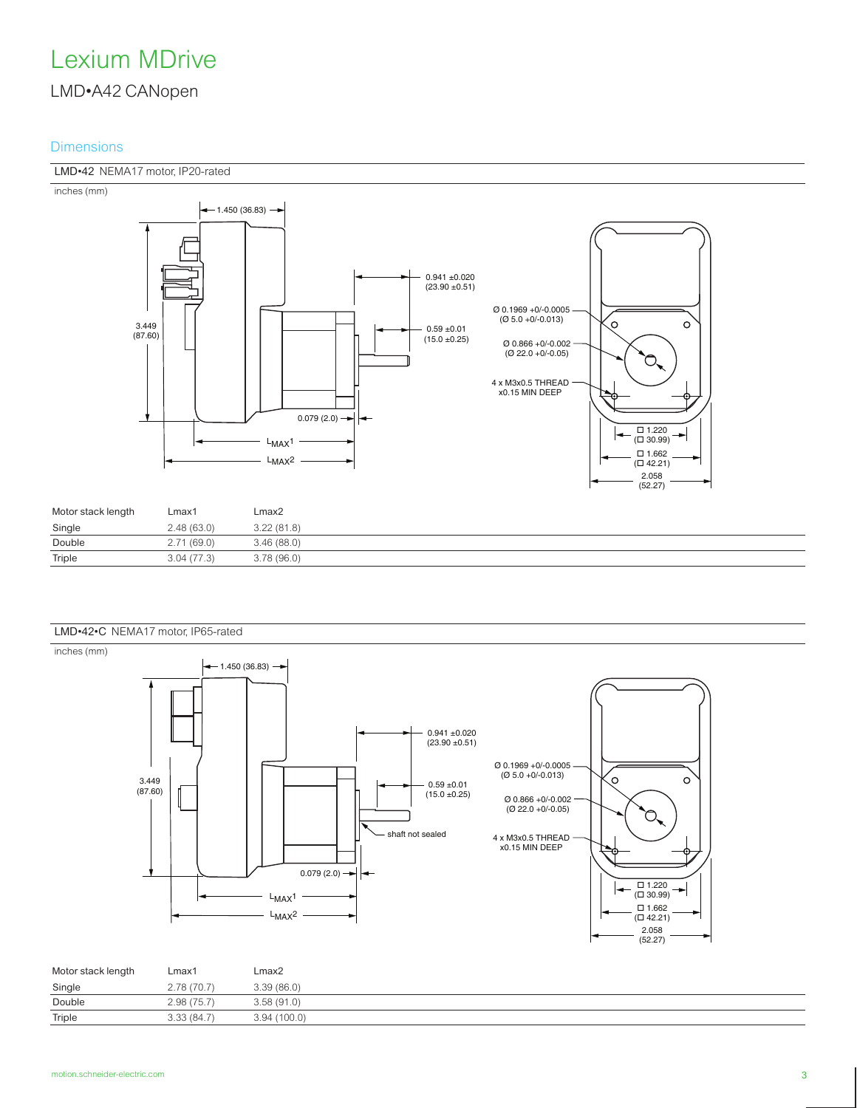#### **Dimensions**

#### LMD•42 NEMA17 motor, IP20-rated





| Motor stack length | Lmax1      | Lmax2      |
|--------------------|------------|------------|
| Single             | 2.48(63.0) | 3.22(81.8) |
| Double             | 2.71(69.0) | 3.46(88.0) |
| Triple             | 3.04(77.3) | 3.78(96.0) |





| Motor stack length | Lmax1      | Lmax2        |
|--------------------|------------|--------------|
| Single             | 2.78(70.7) | 3.39(86.0)   |
| Double             | 2.98(75.7) | 3.58(91.0)   |
| Triple             | 3.33(84.7) | 3.94 (100.0) |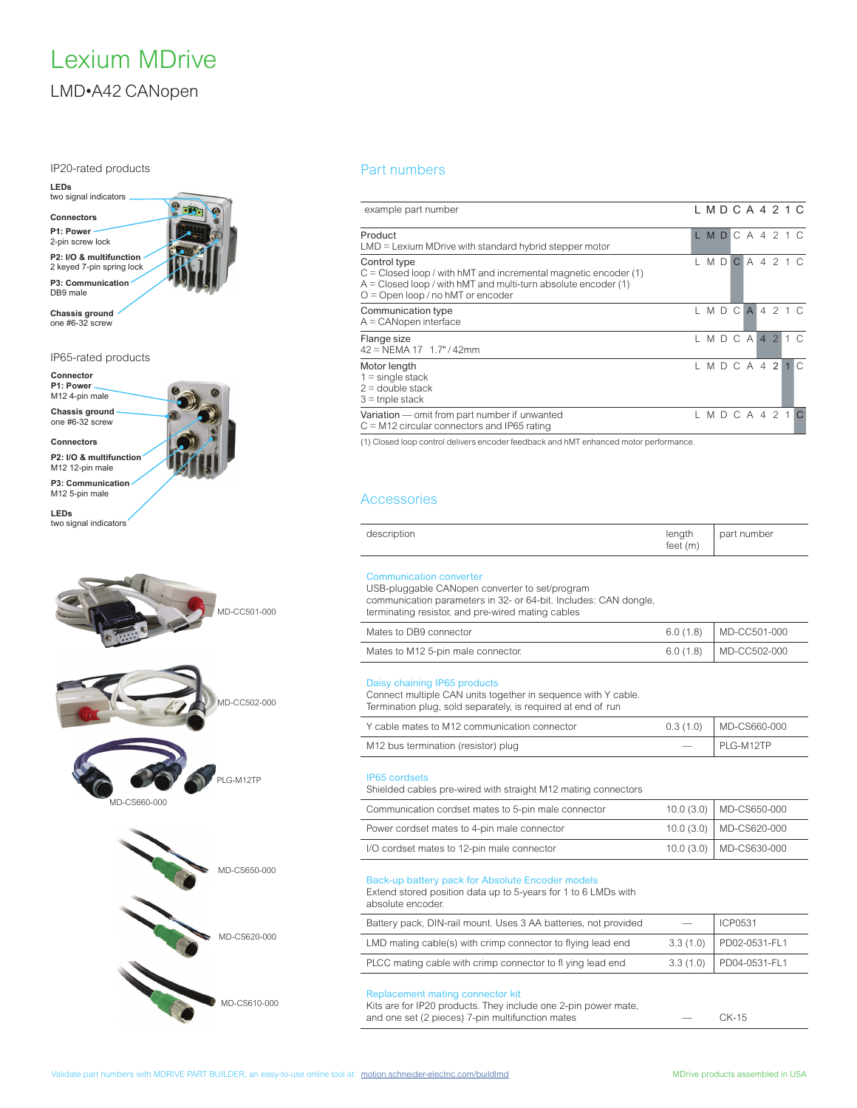IP20-rated products



**Chassis ground** one #6-32 screw

IP65-rated products

![](_page_3_Picture_5.jpeg)

two signal indicators

![](_page_3_Figure_7.jpeg)

#### Part numbers

| example part number                                                                                                                                                                          | LMDCA421C |       |              |                |           |     |          |
|----------------------------------------------------------------------------------------------------------------------------------------------------------------------------------------------|-----------|-------|--------------|----------------|-----------|-----|----------|
| Product<br>$LMD =$ Lexium MDrive with standard hybrid stepper motor                                                                                                                          | LMD       |       |              | C A 4 2 1 C    |           |     |          |
| Control type<br>$C = Closed$ loop / with hMT and incremental magnetic encoder (1)<br>$A = Closed$ loop / with hMT and multi-turn absolute encoder (1)<br>$O =$ Open loop / no hMT or encoder |           | M DI  | $\mathbf{C}$ |                | A 4 2 1 C |     |          |
| Communication type<br>$A =$ CANopen interface                                                                                                                                                |           | M D C |              | $\overline{A}$ |           | 421 |          |
| Flange size<br>42 = NEMA 17 1.7" / 42mm                                                                                                                                                      | LMDCA42   |       |              |                |           |     | $1 \cap$ |
| Motor length<br>$1 =$ single stack<br>$2 =$ double stack<br>$3$ = triple stack                                                                                                               | LMDCA42   |       |              |                |           |     | $\cap$   |
| Variation — omit from part number if unwanted<br>$C = M12$ circular connectors and IP65 rating                                                                                               | LMDCA42   |       |              |                |           |     |          |

(1) Closed loop control delivers encoder feedback and hMT enhanced motor performance.

#### **Accessories**

| description | length<br>$\epsilon$<br>feet | part number |
|-------------|------------------------------|-------------|
|-------------|------------------------------|-------------|

#### Communication converter

USB-pluggable CANopen converter to set/program communication parameters in 32- or 64-bit. Includes: CAN dongle,

terminating resistor, and pre-wired mating cables

| Mates to DB9 connector             | $6.0(1.8)$ MD-CC501-000 |
|------------------------------------|-------------------------|
| Mates to M12 5-pin male connector. | $6.0(1.8)$ MD-CC502-000 |

#### Daisy chaining IP65 products

Connect multiple CAN units together in sequence with Y cable. Termination plug, sold separately, is required at end of run

| Y cable mates to M12 communication connector | $0.3(1.0)$ MD-CS660-000 |
|----------------------------------------------|-------------------------|
| M12 bus termination (resistor) plug          | PLG-M12TP               |

#### IP65 cordsets

Shielded cables pre-wired with straight M12 mating connectors

| Communication cordset mates to 5-pin male connector | 10.0 (3.0) MD-CS650-000   |
|-----------------------------------------------------|---------------------------|
| Power cordset mates to 4-pin male connector         | 10.0 (3.0) MD-CS620-000   |
| I/O cordset mates to 12-pin male connector          | 10.0 (3.0)   MD-CS630-000 |

#### Back-up battery pack for Absolute Encoder models

Extend stored position data up to 5-years for 1 to 6 LMDs with absolute encoder.

| Battery pack, DIN-rail mount. Uses 3 AA batteries, not provided | <b>ICP0531</b>          |
|-----------------------------------------------------------------|-------------------------|
| LMD mating cable(s) with crimp connector to flying lead end     | 3.3 (1.0) PD02-0531-FL1 |
| PLCC mating cable with crimp connector to fl ying lead end      | 3.3 (1.0) PD04-0531-FL1 |

#### Replacement mating connector kit

Kits are for IP20 products. They include one 2-pin power mate, and one set (2 pieces) 7-pin multifunction mates — CK-15